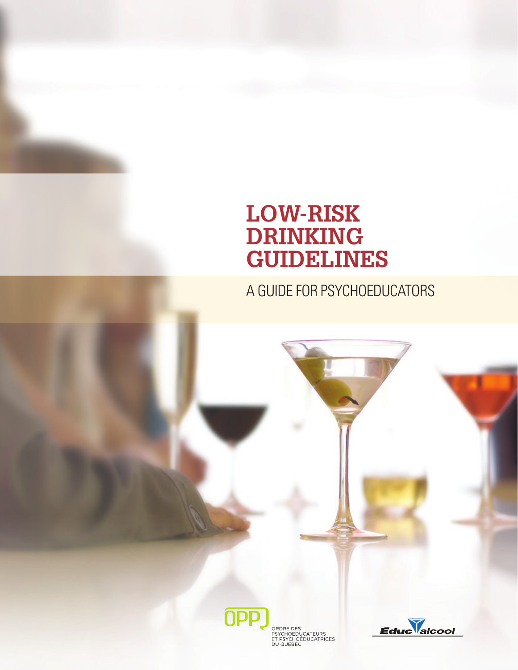# **Low-Risk Drinking Guidelines**

A Guide for PSYCHOEDUCATORS



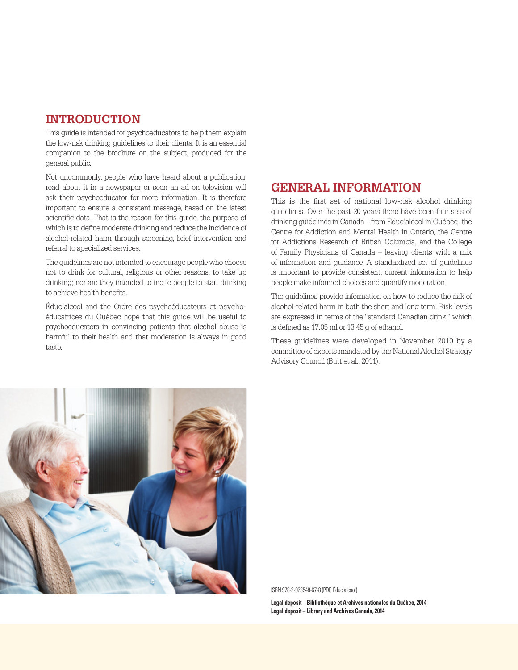#### **Introduction**

This guide is intended for psychoeducators to help them explain the low-risk drinking guidelines to their clients. It is an essential companion to the brochure on the subject, produced for the general public.

Not uncommonly, people who have heard about a publication, read about it in a newspaper or seen an ad on television will ask their psychoeducator for more information. It is therefore important to ensure a consistent message, based on the latest scientific data. That is the reason for this guide, the purpose of which is to define moderate drinking and reduce the incidence of alcohol-related harm through screening, brief intervention and referral to specialized services.

The guidelines are not intended to encourage people who choose not to drink for cultural, religious or other reasons, to take up drinking; nor are they intended to incite people to start drinking to achieve health benefits.

Éduc'alcool and the Ordre des psychoéducateurs et psychoéducatrices du Québec hope that this guide will be useful to psychoeducators in convincing patients that alcohol abuse is harmful to their health and that moderation is always in good taste.

### **General Information**

This is the first set of national low-risk alcohol drinking guidelines. Over the past 20 years there have been four sets of drinking guidelines in Canada – from Éduc'alcool in Québec, the Centre for Addiction and Mental Health in Ontario, the Centre for Addictions Research of British Columbia, and the College of Family Physicians of Canada – leaving clients with a mix of information and guidance. A standardized set of guidelines is important to provide consistent, current information to help people make informed choices and quantify moderation.

The guidelines provide information on how to reduce the risk of alcohol-related harm in both the short and long term. Risk levels are expressed in terms of the "standard Canadian drink," which is defined as 17.05 ml or 13.45 g of ethanol.

These guidelines were developed in November 2010 by a committee of experts mandated by the National Alcohol Strategy Advisory Council (Butt et al., 2011).



ISBN 978-2-923548-67-8 (PDF, Éduc'alcool)

**Legal deposit – Bibliothèque et Archives nationales du Québec, 2014 Legal deposit – Library and Archives Canada, 2014**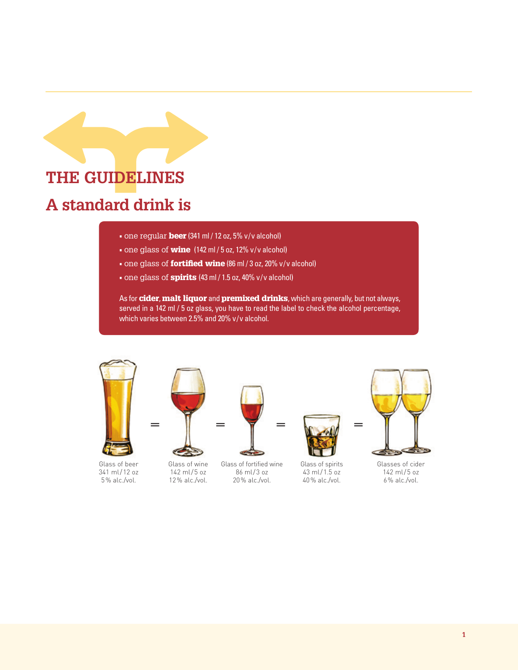

#### • one regular **beer** (341 ml / 12 oz, 5% v/v alcohol)

- one glass of **wine** (142 ml / 5 oz, 12% v/v alcohol)
- one glass of **fortified wine** (86 ml / 3 oz, 20% v/v alcohol)
- one glass of **spirits** (43 ml / 1.5 oz, 40% v/v alcohol)

As for cider, malt liquor and premixed drinks, which are generally, but not always, served in a 142 ml / 5 oz glass, you have to read the label to check the alcohol percentage, which varies between 2.5% and 20% v/v alcohol.



Glass of beer 341 ml/12 oz 5% alc./vol.



Glass of wine 142 ml/5 oz 12% alc./vol.



Glass of fortified wine 86 ml/3 oz 20% alc./vol.



Glass of spirits 43 ml/1.5 oz 40% alc./vol.



Glasses of cider 142 ml/5 oz 6% alc./vol.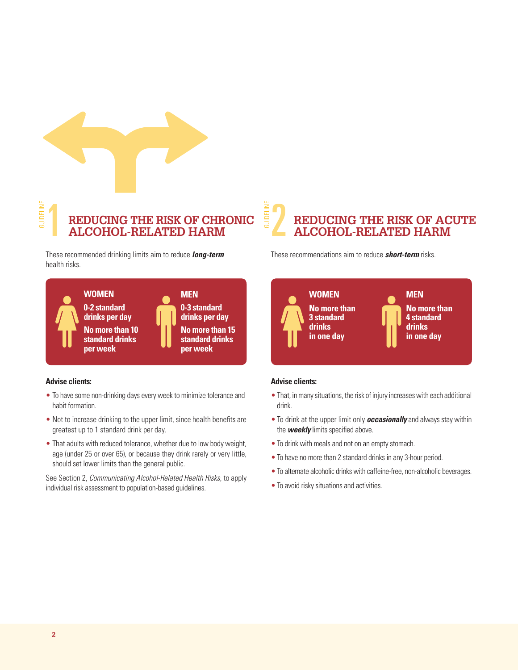

## REDUCING THE RISK OF CHRONIC SEPTED HARM **Reducing the risk of chronic alcohol-related harm**

These recommended drinking limits aim to reduce *long-term* health risks.



#### **Advise clients:**

- To have some non-drinking days every week to minimize tolerance and habit formation.
- Not to increase drinking to the upper limit, since health benefits are greatest up to 1 standard drink per day.
- That adults with reduced tolerance, whether due to low body weight, age (under 25 or over 65), or because they drink rarely or very little, should set lower limits than the general public.

See Section 2, *Communicating Alcohol-Related Health Risks*, to apply individual risk assessment to population-based guidelines.

**Reducing the risk of acute alcohol-related harm**

These recommendations aim to reduce *short-term* risks.



#### **Advise clients:**

Guideline

- That, in many situations, the risk of injury increases with each additional drink.
- To drink at the upper limit only *occasionally* and always stay within the *weekly* limits specified above.
- To drink with meals and not on an empty stomach.
- To have no more than 2 standard drinks in any 3-hour period.
- To alternate alcoholic drinks with caffeine-free, non-alcoholic beverages.
- To avoid risky situations and activities.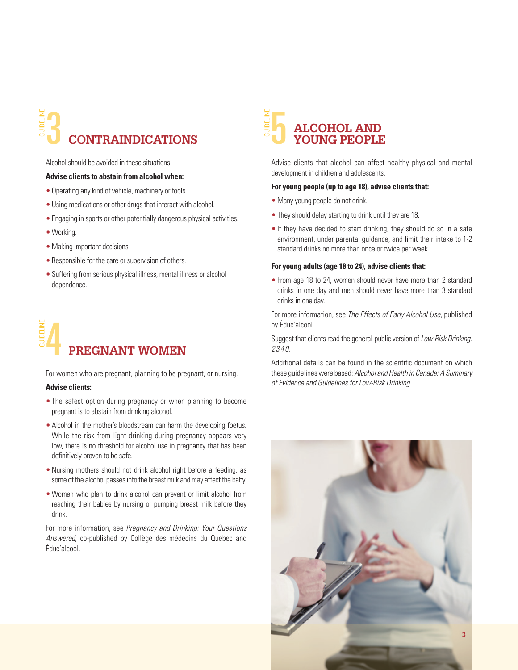## 3 5 **Contraindications young people** Guideline

Alcohol should be avoided in these situations.

#### **Advise clients to abstain from alcohol when:**

- Operating any kind of vehicle, machinery or tools.
- Using medications or other drugs that interact with alcohol.
- Engaging in sports or other potentially dangerous physical activities.
- Working.
- •Making important decisions.
- Responsible for the care or supervision of others.
- Suffering from serious physical illness, mental illness or alcohol dependence.

## 4 **PREGNANT WOMEN** Guideline

For women who are pregnant, planning to be pregnant, or nursing.

#### **Advise clients:**

- The safest option during pregnancy or when planning to become pregnant is to abstain from drinking alcohol.
- Alcohol in the mother's bloodstream can harm the developing foetus. While the risk from light drinking during pregnancy appears very low, there is no threshold for alcohol use in pregnancy that has been definitively proven to be safe.
- •Nursing mothers should not drink alcohol right before a feeding, as some of the alcohol passes into the breast milk and may affect the baby.
- Women who plan to drink alcohol can prevent or limit alcohol from reaching their babies by nursing or pumping breast milk before they drink.

For more information, see *Pregnancy and Drinking: Your Questions Answered*, co-published by Collège des médecins du Québec and Éduc'alcool.

## **Alcohol and** Guideline

Advise clients that alcohol can affect healthy physical and mental development in children and adolescents.

#### **For young people (up to age 18), advise clients that:**

- Many young people do not drink.
- They should delay starting to drink until they are 18.
- If they have decided to start drinking, they should do so in a safe environment, under parental guidance, and limit their intake to 1-2 standard drinks no more than once or twice per week.

#### **For young adults (age 18 to 24), advise clients that:**

• From age 18 to 24, women should never have more than 2 standard drinks in one day and men should never have more than 3 standard drinks in one day.

For more information, see *The Effects of Early Alcohol Use*, published by Éduc'alcool.

Suggest that clients read the general-public version of *Low-Risk Drinking: 2 3 4 0*.

Additional details can be found in the scientific document on which these guidelines were based: *Alcohol and Health in Canada: A Summary of Evidence and Guidelines for Low-Risk Drinking.*

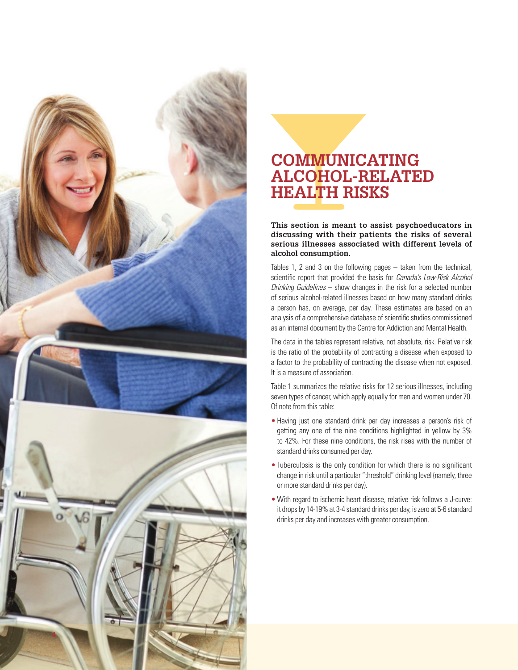

## **Communicating**   $\bf ALCOHOL-RELATED$ **Hea lth Risks**

**This section is meant to assist psychoeducators in discussing with their patients the risks of several serious illnesses associated with different levels of alcohol consumption.** 

Tables 1, 2 and 3 on the following pages – taken from the technical, scientific report that provided the basis for *Canada's Low-Risk Alcohol Drinking Guidelines* – show changes in the risk for a selected number of serious alcohol-related illnesses based on how many standard drinks a person has, on average, per day. These estimates are based on an analysis of a comprehensive database of scientific studies commissioned as an internal document by the Centre for Addiction and Mental Health.

The data in the tables represent relative, not absolute, risk. Relative risk is the ratio of the probability of contracting a disease when exposed to a factor to the probability of contracting the disease when not exposed. It is a measure of association.

Table 1 summarizes the relative risks for 12 serious illnesses, including seven types of cancer, which apply equally for men and women under 70.<br>Of note from this table:

- Having just one standard drink per day increases a person's risk of getting any one of the nine conditions highlighted in yellow by 3% to 42%. For these nine conditions, the risk rises with the number of standard drinks consumed per day.
- Tuberculosis is the only condition for which there is no significant change in risk until a particular "threshold" drinking level (namely, three or more standard drinks per day).
- With regard to ischemic heart disease, relative risk follows a J-curve: it drops by 14-19% at 3-4 standard drinks per day, is zero at 5-6 standard drinks per day and increases with greater consumption.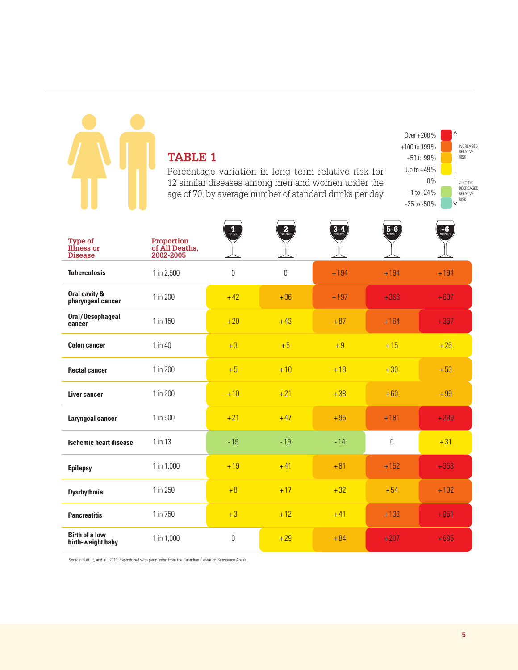## **Table 1**

Percentage variation in long-term relative risk for 12 similar diseases among men and women under the age of 70, by average number of standard drinks per day



| <b>Type of</b><br>Illness or<br><b>Disease</b> | Proportion<br>of All Deaths,<br>2002-2005 | $\frac{1}{\text{DRINK}}$ | $\overline{2}_{DRINKS}$ | $3-4$  | $\overline{5.6}$ | $+6$<br>DRINKS |
|------------------------------------------------|-------------------------------------------|--------------------------|-------------------------|--------|------------------|----------------|
| <b>Tuberculosis</b>                            | 1 in 2,500                                | $\boldsymbol{0}$         | 0                       | $+194$ | $+194$           | $+194$         |
| Oral cavity &<br>pharyngeal cancer             | 1 in 200                                  | $+42$                    | $+96$                   | $+197$ | $+368$           | $+697$         |
| Oral/Oesophageal<br>cancer                     | 1 in 150                                  | $+20$                    | $+43$                   | $+87$  | $+164$           | $+367$         |
| <b>Colon cancer</b>                            | $1$ in $40$                               | $+3$                     | $+5$                    | $+9$   | $+15$            | $+26$          |
| <b>Rectal cancer</b>                           | 1 in 200                                  | $+5$                     | $+10$                   | $+18$  | $+30$            | $+53$          |
| <b>Liver cancer</b>                            | 1 in 200                                  | $+10$                    | $+21$                   | $+38$  | $+60$            | $+99$          |
| <b>Laryngeal cancer</b>                        | 1 in 500                                  | $+21$                    | $+47$                   | $+95$  | $+181$           | $+399$         |
| <b>Ischemic heart disease</b>                  | 1 in 13                                   | $-19$                    | $-19$                   | $-14$  | $\mathbf 0$      | $+31$          |
| <b>Epilepsy</b>                                | 1 in 1,000                                | $+19$                    | $+41$                   | $+81$  | $+152$           | $+353$         |
| <b>Dysrhythmia</b>                             | 1 in 250                                  | $+8$                     | $+17$                   | $+32$  | $+54$            | $+102$         |
| <b>Pancreatitis</b>                            | 1 in 750                                  | $+3$                     | $+12$                   | $+41$  | $+133$           | $+851$         |
| <b>Birth of a low</b><br>birth-weight baby     | 1 in 1,000                                | $\mathbf 0$              | $+29$                   | $+84$  | $+207$           | $+685$         |

Source: Butt, P., and al., 2011. Reproduced with permission from the Canadian Centre on Substance Abuse.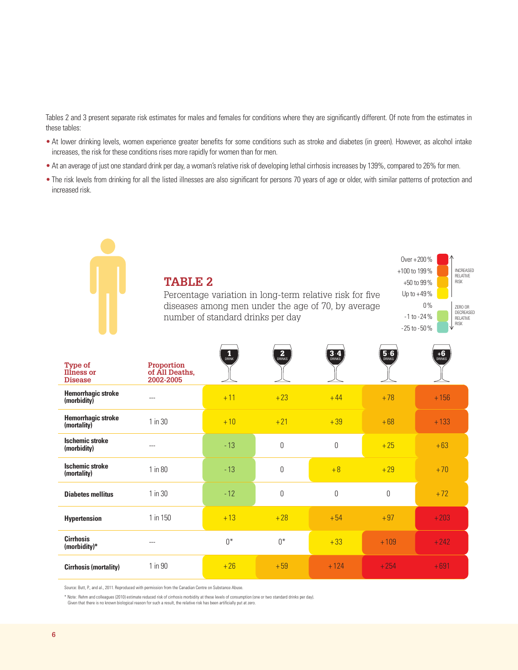Tables 2 and 3 present separate risk estimates for males and females for conditions where they are significantly different. Of note from the estimates in these tables:

- At lower drinking levels, women experience greater benefits for some conditions such as stroke and diabetes (in green). However, as alcohol intake increases, the risk for these conditions rises more rapidly for women than for men.
- At an average of just one standard drink per day, a woman's relative risk of developing lethal cirrhosis increases by 139%, compared to 26% for men.
- The risk levels from drinking for all the listed illnesses are also significant for persons 70 years of age or older, with similar patterns of protection and increased risk.

|                                                       | $0$ ver + 200 %<br>+100 to 199%<br><b>TABLE 2</b><br>$+50$ to 99%<br>Up to $+49%$<br>Percentage variation in long-term relative risk for five<br>$0\%$<br>diseases among men under the age of 70, by average<br>number of standard drinks per day<br>$-1$ to $-24%$<br>$-25$ to $-50\%$ |                          |                          |        |                  |                |
|-------------------------------------------------------|-----------------------------------------------------------------------------------------------------------------------------------------------------------------------------------------------------------------------------------------------------------------------------------------|--------------------------|--------------------------|--------|------------------|----------------|
| <b>Type of</b><br><b>Illness or</b><br><b>Disease</b> | Proportion<br>of All Deaths,<br>2002-2005                                                                                                                                                                                                                                               | $\frac{1}{\text{DRINK}}$ | $\overline{2}$<br>Drinks | $3-4$  | $\overline{5.6}$ | $+6$<br>DRINKS |
| <b>Hemorrhagic stroke</b><br>(morbidity)              | ---                                                                                                                                                                                                                                                                                     | $+11$                    | $+23$                    | $+44$  | $+78$            | $+156$         |
| <b>Hemorrhagic stroke</b><br>(mortality)              | 1 in 30                                                                                                                                                                                                                                                                                 | $+10$                    | $+21$                    | $+39$  | $+68$            | $+133$         |
| <b>Ischemic stroke</b><br>(morbidity)                 | $---$                                                                                                                                                                                                                                                                                   | $-13$                    | 0                        | 0      | $+25$            | $+63$          |
| <b>Ischemic stroke</b><br>(mortality)                 | 1 in 80                                                                                                                                                                                                                                                                                 | $-13$                    | 0                        | $+8$   | $+29$            | $+70$          |
| <b>Diabetes mellitus</b>                              | 1 in 30                                                                                                                                                                                                                                                                                 | $-12$                    | 0                        | 0      | $\Omega$         | $+72$          |
| <b>Hypertension</b>                                   | 1 in 150                                                                                                                                                                                                                                                                                | $+13$                    | $+28$                    | $+54$  | $+97$            | $+203$         |
| <b>Cirrhosis</b><br>(morbidity) $*$                   | ---                                                                                                                                                                                                                                                                                     | $0^*$                    | $0^*$                    | $+33$  | $+109$           | $+242$         |
| <b>Cirrhosis (mortality)</b>                          | 1 in 90                                                                                                                                                                                                                                                                                 | $+26$                    | $+59$                    | $+124$ | $+254$           | $+691$         |

Source: Butt, P., and al., 2011. Reproduced with permission from the Canadian Centre on Substance Abuse.

 $\overline{\phantom{a}}$ 

\* Note : Rehm and colleagues (2010) estimate reduced risk of cirrhosis morbidity at these levels of consumption (one or two standard drinks per day). Given that there is no known biological reason for such a result, the relative risk has been artificially put at zero.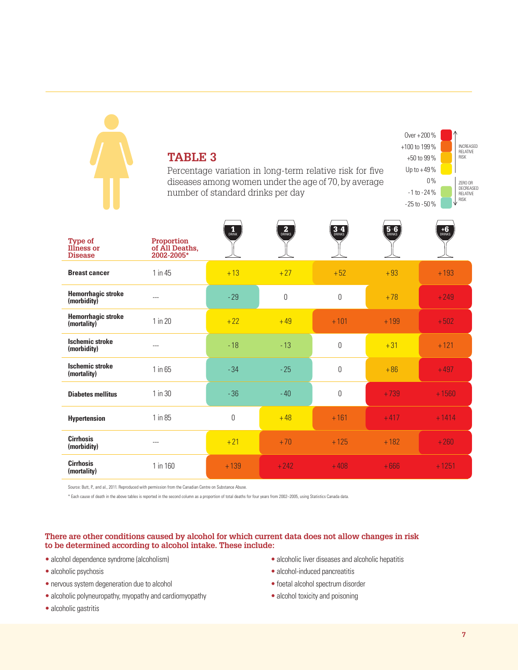## **TABLE 3**

Percentage variation in long-term relative risk for five diseases among women under the age of 70, by average number of standard drinks per day



| <b>Type of</b><br><b>Illness or</b><br><b>Disease</b> | Proportion<br>of All Deaths,<br>2002-2005* | $\mathbf{1}_{\text{DRINK}}$ | $\overline{\mathbf{2}}$ <sub>DRINKS</sub> | $3-4$    | $\frac{5.6}{DRINKS}$ | $+6$<br>Drinks |
|-------------------------------------------------------|--------------------------------------------|-----------------------------|-------------------------------------------|----------|----------------------|----------------|
| <b>Breast cancer</b>                                  | 1 in 45                                    | $+13$                       | $+27$                                     | $+52$    | $+93$                | $+193$         |
| <b>Hemorrhagic stroke</b><br>(morbidity)              | ---                                        | $-29$                       | 0                                         | $\theta$ | $+78$                | $+249$         |
| <b>Hemorrhagic stroke</b><br>(mortality)              | 1 in 20                                    | $+22$                       | $+49$                                     | $+101$   | $+199$               | $+502$         |
| <b>Ischemic stroke</b><br>(morbidity)                 | ---                                        | $-18$                       | $-13$                                     | $\theta$ | $+31$                | $+121$         |
| <b>Ischemic stroke</b><br>(mortality)                 | $1$ in $65$                                | $-34$                       | $-25$                                     | $\Omega$ | $+86$                | $+497$         |
| <b>Diabetes mellitus</b>                              | $1$ in $30$                                | $-36$                       | $-40$                                     | $\Omega$ | $+739$               | $+1560$        |
| <b>Hypertension</b>                                   | $1$ in 85                                  | 0                           | $+48$                                     | $+161$   | $+417$               | $+1414$        |
| <b>Cirrhosis</b><br>(morbidity)                       | ---                                        | $+21$                       | $+70$                                     | $+125$   | $+182$               | $+260$         |
| <b>Cirrhosis</b><br>(mortality)                       | 1 in 160                                   | $+139$                      | $+242$                                    | $+408$   | $+666$               | $+1251$        |

Source: Butt, P., and al., 2011. Reproduced with permission from the Canadian Centre on Substance Abuse.

\* Each cause of death in the above tables is reported in the second column as a proportion of total deaths for four years from 2002–2005, using Statistics Canada data.

#### **There are other conditions caused by alcohol for which current data does not allow changes in risk to be determined according to alcohol intake. These include:**

- alcohol dependence syndrome (alcoholism)
- alcoholic psychosis
- nervous system degeneration due to alcohol
- alcoholic polyneuropathy, myopathy and cardiomyopathy
- alcoholic gastritis
- alcoholic liver diseases and alcoholic hepatitis
- alcohol-induced pancreatitis
- foetal alcohol spectrum disorder
- alcohol toxicity and poisoning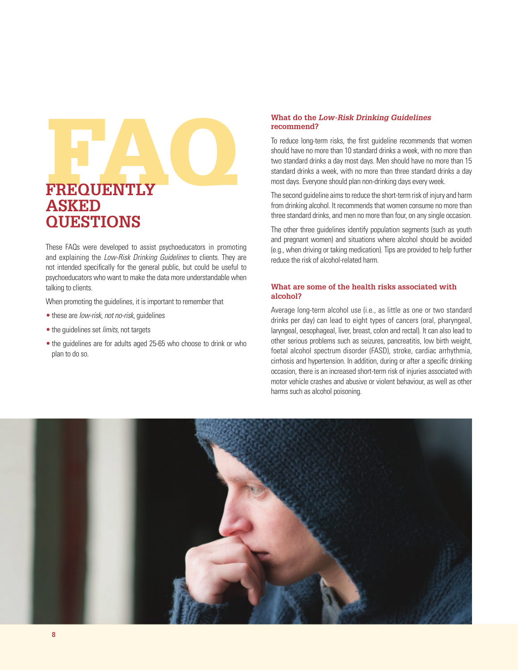# What do the *Low-Risk Drinking Guidelines*<br>recommend?<br>To reduce long-term risks, the first guideline recommence<br>should have no more than 10 standard drinks a week, with<br>two standard drinks a day most days. Men should have **Frequently Asked Questions**

These FAQs were developed to assist psychoeducators in promoting and explaining the *Low-Risk Drinking Guidelines* to clients. They are not intended specifically for the general public, but could be useful to psychoeducators who want to make the data more understandable when talking to clients.

When promoting the guidelines, it is important to remember that

- these are *low-risk*, *not no-risk*, guidelines
- the guidelines set *limits*, not targets
- the guidelines are for adults aged 25-65 who choose to drink or who plan to do so.

## **recommend?**

To reduce long-term risks, the first guideline recommends that women should have no more than 10 standard drinks a week, with no more than two standard drinks a day most days. Men should have no more than 15 standard drinks a week, with no more than three standard drinks a day most days. Everyone should plan non-drinking days every week.

The second guideline aims to reduce the short-term risk of injury and harm from drinking alcohol. It recommends that women consume no more than three standard drinks, and men no more than four, on any single occasion.

The other three guidelines identify population segments (such as youth and pregnant women) and situations where alcohol should be avoided (e.g., when driving or taking medication). Tips are provided to help further reduce the risk of alcohol-related harm.

#### **What are some of the health risks associated with alcohol?**

Average long-term alcohol use (i.e., as little as one or two standard drinks per day) can lead to eight types of cancers (oral, pharyngeal, laryngeal, oesophageal, liver, breast, colon and rectal). It can also lead to other serious problems such as seizures, pancreatitis, low birth weight, foetal alcohol spectrum disorder (FASD), stroke, cardiac arrhythmia, cirrhosis and hypertension. In addition, during or after a specific drinking occasion, there is an increased short-term risk of injuries associated with motor vehicle crashes and abusive or violent behaviour, as well as other harms such as alcohol poisoning.

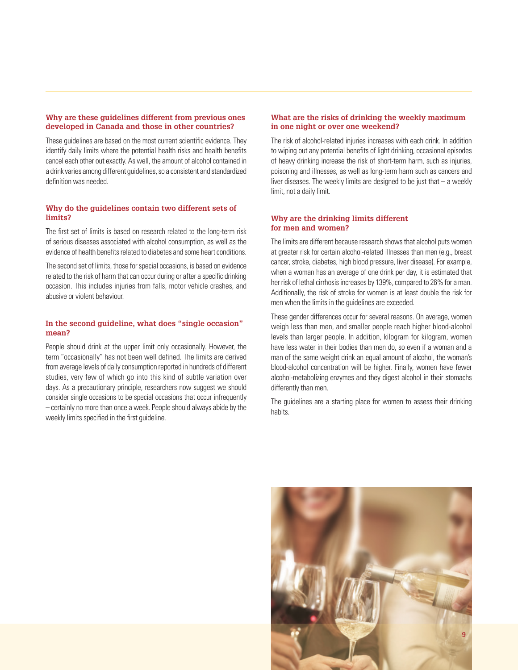#### **Why are these guidelines different from previous ones developed in Canada and those in other countries?**

These guidelines are based on the most current scientific evidence. They identify daily limits where the potential health risks and health benefits cancel each other out exactly. As well, the amount of alcohol contained in a drink varies among different guidelines, so a consistent and standardized definition was needed.

#### **Why do the guidelines contain two different sets of limits?**

The first set of limits is based on research related to the long-term risk of serious diseases associated with alcohol consumption, as well as the evidence of health benefits related to diabetes and some heart conditions.

The second set of limits, those for special occasions, is based on evidence related to the risk of harm that can occur during or after a specific drinking occasion. This includes injuries from falls, motor vehicle crashes, and abusive or violent behaviour.

#### **In the second guideline, what does "single occasion" mean?**

People should drink at the upper limit only occasionally. However, the term "occasionally" has not been well defined. The limits are derived from average levels of daily consumption reported in hundreds of different studies, very few of which go into this kind of subtle variation over days. As a precautionary principle, researchers now suggest we should consider single occasions to be special occasions that occur infrequently – certainly no more than once a week. People should always abide by the weekly limits specified in the first guideline.

#### **What are the risks of drinking the weekly maximum in one night or over one weekend?**

The risk of alcohol-related injuries increases with each drink. In addition to wiping out any potential benefits of light drinking, occasional episodes of heavy drinking increase the risk of short-term harm, such as injuries, poisoning and illnesses, as well as long-term harm such as cancers and liver diseases. The weekly limits are designed to be just that  $-$  a weekly limit, not a daily limit.

#### **Why are the drinking limits different for men and women?**

The limits are different because research shows that alcohol puts women at greater risk for certain alcohol-related illnesses than men (e.g., breast cancer, stroke, diabetes, high blood pressure, liver disease). For example, when a woman has an average of one drink per day, it is estimated that her risk of lethal cirrhosis increases by 139%, compared to 26% for a man. Additionally, the risk of stroke for women is at least double the risk for men when the limits in the guidelines are exceeded.

These gender differences occur for several reasons. On average, women weigh less than men, and smaller people reach higher blood-alcohol levels than larger people. In addition, kilogram for kilogram, women have less water in their bodies than men do, so even if a woman and a man of the same weight drink an equal amount of alcohol, the woman's blood-alcohol concentration will be higher. Finally, women have fewer alcohol-metabolizing enzymes and they digest alcohol in their stomachs differently than men.

The guidelines are a starting place for women to assess their drinking habits.

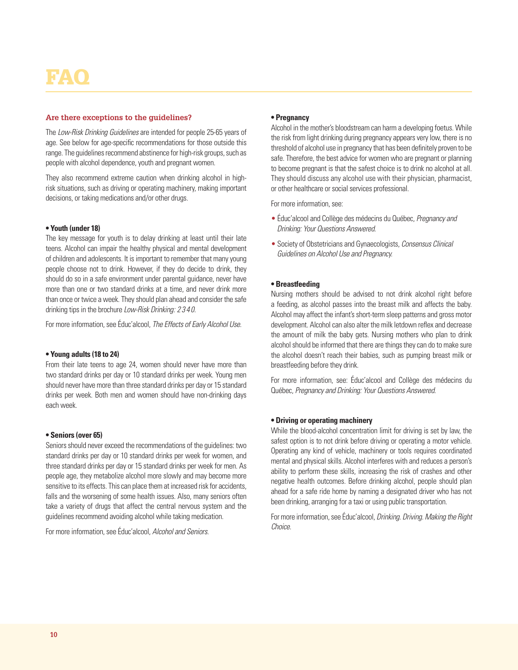## FAQ

#### **Are there exceptions to the guidelines?**

The *Low-Risk Drinking Guidelines* are intended for people 25-65 years of age. See below for age-specific recommendations for those outside this range. The guidelines recommend abstinence for high-risk groups, such as people with alcohol dependence, youth and pregnant women.

They also recommend extreme caution when drinking alcohol in highrisk situations, such as driving or operating machinery, making important decisions, or taking medications and/or other drugs.

#### **• Youth (under 18)**

The key message for youth is to delay drinking at least until their late teens. Alcohol can impair the healthy physical and mental development of children and adolescents. It is important to remember that many young people choose not to drink. However, if they do decide to drink, they should do so in a safe environment under parental guidance, never have more than one or two standard drinks at a time, and never drink more than once or twice a week. They should plan ahead and consider the safe drinking tips in the brochure *Low-Risk Drinking: 2 3 4 0*.

For more information, see Éduc'alcool, *The Effects of Early Alcohol Use*.

#### **• Young adults (18 to 24)**

From their late teens to age 24, women should never have more than two standard drinks per day or 10 standard drinks per week. Young men should never have more than three standard drinks per day or 15 standard drinks per week. Both men and women should have non-drinking days each week.

#### **• Seniors (over 65)**

Seniors should never exceed the recommendations of the guidelines: two standard drinks per day or 10 standard drinks per week for women, and three standard drinks per day or 15 standard drinks per week for men. As people age, they metabolize alcohol more slowly and may become more sensitive to its effects. This can place them at increased risk for accidents, falls and the worsening of some health issues. Also, many seniors often take a variety of drugs that affect the central nervous system and the guidelines recommend avoiding alcohol while taking medication.

For more information, see Éduc'alcool, *Alcohol and Seniors*.

#### **• Pregnancy**

Alcohol in the mother's bloodstream can harm a developing foetus. While the risk from light drinking during pregnancy appears very low, there is no threshold of alcohol use in pregnancy that has been definitely proven to be safe. Therefore, the best advice for women who are pregnant or planning to become pregnant is that the safest choice is to drink no alcohol at all. They should discuss any alcohol use with their physician, pharmacist, or other healthcare or social services professional.

For more information, see:

- Éduc'alcool and Collège des médecins du Québec, *Pregnancy and Drinking: Your Questions Answered*.
- Society of Obstetricians and Gynaecologists, *Consensus Clinical Guidelines on Alcohol Use and Pregnancy.*

#### **• Breastfeeding**

Nursing mothers should be advised to not drink alcohol right before a feeding, as alcohol passes into the breast milk and affects the baby. Alcohol may affect the infant's short-term sleep patterns and gross motor development. Alcohol can also alter the milk letdown reflex and decrease the amount of milk the baby gets. Nursing mothers who plan to drink alcohol should be informed that there are things they can do to make sure the alcohol doesn't reach their babies, such as pumping breast milk or breastfeeding before they drink.

For more information, see: Éduc'alcool and Collège des médecins du Québec, *Pregnancy and Drinking: Your Questions Answered*.

#### **• Driving or operating machinery**

While the blood-alcohol concentration limit for driving is set by law, the safest option is to not drink before driving or operating a motor vehicle. Operating any kind of vehicle, machinery or tools requires coordinated mental and physical skills. Alcohol interferes with and reduces a person's ability to perform these skills, increasing the risk of crashes and other negative health outcomes. Before drinking alcohol, people should plan ahead for a safe ride home by naming a designated driver who has not been drinking, arranging for a taxi or using public transportation.

For more information, see Éduc'alcool, *Drinking. Driving. Making the Right Choice*.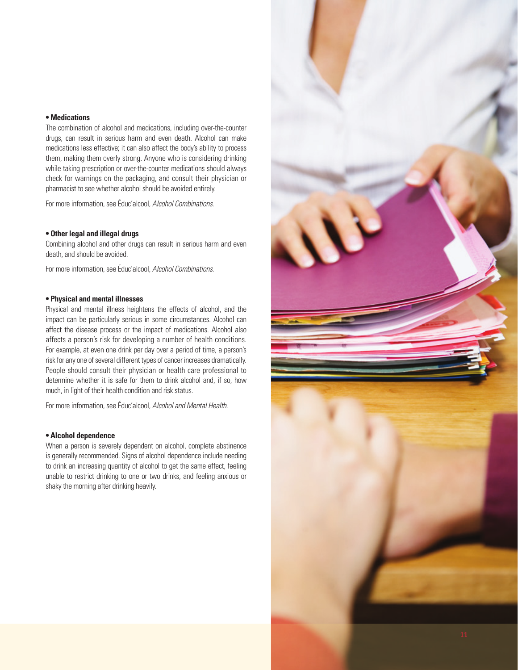#### **• Medications**

The combination of alcohol and medications, including over-the-counter drugs, can result in serious harm and even death. Alcohol can make medications less effective; it can also affect the body's ability to process them, making them overly strong. Anyone who is considering drinking while taking prescription or over-the-counter medications should always check for warnings on the packaging, and consult their physician or pharmacist to see whether alcohol should be avoided entirely.

For more information, see Éduc'alcool, *Alcohol Combinations*.

#### **• Other legal and illegal drugs**

Combining alcohol and other drugs can result in serious harm and even death, and should be avoided.

For more information, see Éduc'alcool, *Alcohol Combinations*.

#### **• Physical and mental illnesses**

Physical and mental illness heightens the effects of alcohol, and the impact can be particularly serious in some circumstances. Alcohol can affect the disease process or the impact of medications. Alcohol also affects a person's risk for developing a number of health conditions. For example, at even one drink per day over a period of time, a person's risk for any one of several different types of cancer increases dramatically. People should consult their physician or health care professional to determine whether it is safe for them to drink alcohol and, if so, how much, in light of their health condition and risk status.

For more information, see Éduc'alcool, *Alcohol and Mental Health*.

#### **• Alcohol dependence**

When a person is severely dependent on alcohol, complete abstinence is generally recommended. Signs of alcohol dependence include needing to drink an increasing quantity of alcohol to get the same effect, feeling unable to restrict drinking to one or two drinks, and feeling anxious or shaky the morning after drinking heavily.

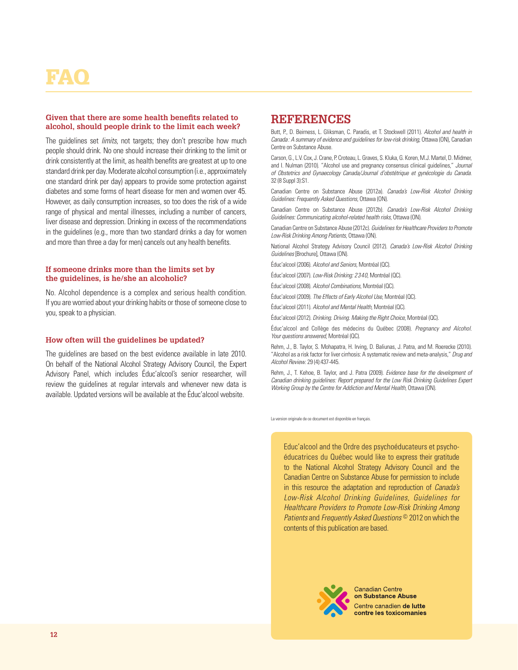## FAQ

#### **Given that there are some health benefits related to alcohol, should people drink to the limit each week?**

The guidelines set *limits*, not targets; they don't prescribe how much people should drink. No one should increase their drinking to the limit or drink consistently at the limit, as health benefits are greatest at up to one standard drink per day. Moderate alcohol consumption (i.e., approximately one standard drink per day) appears to provide some protection against diabetes and some forms of heart disease for men and women over 45. However, as daily consumption increases, so too does the risk of a wide range of physical and mental illnesses, including a number of cancers, liver disease and depression. Drinking in excess of the recommendations in the guidelines (e.g., more than two standard drinks a day for women and more than three a day for men) cancels out any health benefits.

#### **If someone drinks more than the limits set by the guidelines, is he/she an alcoholic?**

No. Alcohol dependence is a complex and serious health condition. If you are worried about your drinking habits or those of someone close to you, speak to a physician.

#### **How often will the guidelines be updated?**

The guidelines are based on the best evidence available in late 2010. On behalf of the National Alcohol Strategy Advisory Council, the Expert Advisory Panel, which includes Éduc'alcool's senior researcher, will review the guidelines at regular intervals and whenever new data is available. Updated versions will be available at the Éduc'alcool website.

#### **References**

Butt, P., D. Beirness, L. Gliksman, C. Paradis, et T. Stockwell (2011). *Alcohol and health in Canada: A summary of evidence and guidelines for low-risk drinking*, Ottawa (ON), Canadian Centre on Substance Abuse.

Carson, G., L.V. Cox, J. Crane, P. Croteau, L. Graves, S. Kluka, G. Koren, M.J. Martel, D. Midmer, and I. Nulman (2010). "Alcohol use and pregnancy consensus clinical guidelines," *Journal of Obstetrics and Gynaecology Canada/Journal d'obstétrique et gynécologie du Canada*. 32 (8 Suppl 3):S1.

Canadian Centre on Substance Abuse (2012a). *Canada's Low-Risk Alcohol Drinking Guidelines: Frequently Asked Questions*, Ottawa (ON).

Canadian Centre on Substance Abuse (2012b). *Canada's Low-Risk Alcohol Drinking Guidelines: Communicating alcohol-related health risks*, Ottawa (ON).

Canadian Centre on Substance Abuse (2012c). *Guidelines for Healthcare Providers to Promote Low-Risk Drinking Among Patients*, Ottawa (ON).

National Alcohol Strategy Advisory Council (2012). *Canada's Low-Risk Alcohol Drinking Guidelines* [Brochure], Ottawa (ON).

Éduc'alcool (2006). *Alcohol and Seniors*, Montréal (QC).

Éduc'alcool (2007). *Low-Risk Drinking: 2340*, Montréal (QC).

Éduc'alcool (2008). *Alcohol Combinations*, Montréal (QC).

Éduc'alcool (2009). *The Effects of Early Alcohol Use*, Montréal (QC).

Éduc'alcool (2011). *Alcohol and Mental Health*, Montréal (QC).

Éduc'alcool (2012). *Drinking. Driving. Making the Right Choice*, Montréal (QC).

Éduc'alcool and Collège des médecins du Québec (2008). *Pregnancy and Alcohol. Your questions answered*, Montréal (QC).

Rehm, J., B. Taylor, S. Mohapatra, H. Irving, D. Baliunas, J. Patra, and M. Roerecke (2010). "Alcohol as a risk factor for liver cirrhosis: A systematic review and meta-analysis," *Drug and Alcohol Review*. 29 (4):437-445.

Rehm, J., T. Kehoe, B. Taylor, and J. Patra (2009). *Evidence base for the development of Canadian drinking guidelines: Report prepared for the Low Risk Drinking Guidelines Expert Working Group by the Centre for Addiction and Mental Health*, Ottawa (ON).

La version originale de ce document est disponible en français.

Educ'alcool and the Ordre des psychoéducateurs et psychoéducatrices du Québec would like to express their gratitude to the National Alcohol Strategy Advisory Council and the Canadian Centre on Substance Abuse for permission to include in this resource the adaptation and reproduction of *Canada's Low-Risk Alcohol Drinking Guidelines*, *Guidelines for Healthcare Providers to Promote Low-Risk Drinking Among Patients* and *Frequently Asked Questions* © 2012 on which the contents of this publication are based.



**Canadian Centre** on Substance Abuse Centre canadien de lutte contre les toxicomanies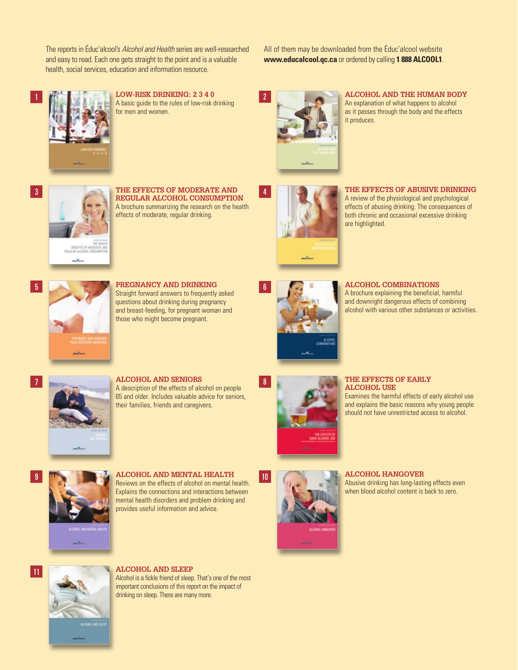The reports in Éduc'alcool's *Alcohol and Health* series are well-researched and easy to read. Each one gets straight to the point and is a valuable health, social services, education and information resource.

All of them may be downloaded from the Éduc'alcool website **www.educalcool.qc.ca** or ordered by calling **1 888 ALCOOL1**.



**Low-Risk Drinking: 2 3 4 0** A basic guide to the rules of low-risk drinking for men and women.



2

4

**Alcohol and the Human Body** An explanation of what happens to alcohol as it passes through the body and the effects it produces.



3

1

7

**The Effects of Moderate and Regular Alcohol Consumption** A brochure summarizing the research on the health effects of moderate, regular drinking.



**The Effects of Abusive Drinking**

A review of the physiological and psychological effects of abusing drinking. The consequences of both chronic and occasional excessive drinking are highlighted.



**5 PREGNANCY AND DRINKING** Straight forward answers to frequently asked questions about drinking during pregnancy and breast-feeding, for pregnant woman and those who might become pregnant.



**Alcohol Combinations**

A brochure explaining the beneficial, harmful and downright dangerous effects of combining alcohol with various other substances or activities.



**Alcohol and Seniors**

A description of the effects of alcohol on people 65 and older. Includes valuable advice for seniors, their families, friends and caregivers.



#### **THE EFFECTS OF EARLY ALCOHOL USE**

Examines the harmful effects of early alcohol use and explains the basic reasons why young people should not have unrestricted access to alcohol.



**9 10** ALCOHOL AND MENTAL HEALTH 10 Reviews on the effects of alcohol on mental health. Explains the connections and interactions between mental health disorders and problem drinking and provides useful information and advice.



#### **ALCOHOL HANGOVER**

Abusive drinking has long-lasting effects even when blood alcohol content is back to zero.



#### **ALCOHOL AND SLEEP**

Alcohol is a fickle friend of sleep. That's one of the most important conclusions of this report on the impact of drinking on sleep. There are many more.